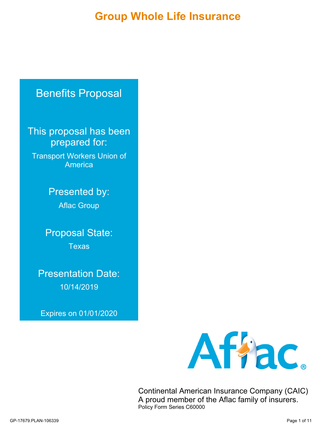**Group Whole Life Insurance**

# Benefits Proposal

This proposal has been prepared for:

Transport Workers Union of America

> Presented by: Aflac Group

Proposal State: **Texas** 

Presentation Date: 10/14/2019

Expires on 01/01/2020



Continental American Insurance Company (CAIC) A proud member of the Aflac family of insurers. Policy Form Series C60000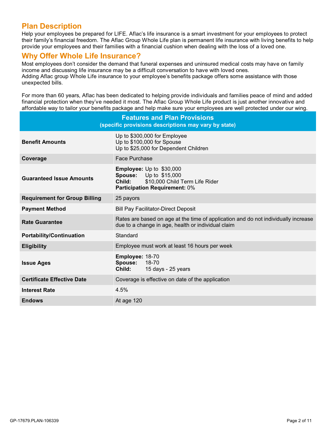# **Plan Description**

Help your employees be prepared for LIFE. Aflac's life insurance is a smart investment for your employees to protect their family's financial freedom. The Aflac Group Whole Life plan is permanent life insurance with living benefits to help provide your employees and their families with a financial cushion when dealing with the loss of a loved one.

# **Why Offer Whole Life Insurance?**

Most employees don't consider the demand that funeral expenses and uninsured medical costs may have on family income and discussing life insurance may be a difficult conversation to have with loved ones. Adding Aflac group Whole Life insurance to your employee's benefits package offers some assistance with those unexpected bills.

For more than 60 years, Aflac has been dedicated to helping provide individuals and families peace of mind and added financial protection when they've needed it most. The Aflac Group Whole Life product is just another innovative and affordable way to tailor your benefits package and help make sure your employees are well protected under our wing.

| <b>Features and Plan Provisions</b><br>(specific provisions descriptions may vary by state) |                                                                                                                                                      |  |  |  |  |
|---------------------------------------------------------------------------------------------|------------------------------------------------------------------------------------------------------------------------------------------------------|--|--|--|--|
| <b>Benefit Amounts</b>                                                                      | Up to \$300,000 for Employee<br>Up to \$100,000 for Spouse<br>Up to \$25,000 for Dependent Children                                                  |  |  |  |  |
| Coverage                                                                                    | Face Purchase                                                                                                                                        |  |  |  |  |
| <b>Guaranteed Issue Amounts</b>                                                             | <b>Employee:</b> Up to \$30,000<br><b>Spouse:</b> Up to \$15,000<br>Child:<br>\$10,000 Child Term Life Rider<br><b>Participation Requirement: 0%</b> |  |  |  |  |
| <b>Requirement for Group Billing</b>                                                        | 25 payors                                                                                                                                            |  |  |  |  |
| <b>Payment Method</b>                                                                       | <b>Bill Pay Facilitator-Direct Deposit</b>                                                                                                           |  |  |  |  |
| <b>Rate Guarantee</b>                                                                       | Rates are based on age at the time of application and do not individually increase<br>due to a change in age, health or individual claim             |  |  |  |  |
| <b>Portability/Continuation</b>                                                             | Standard                                                                                                                                             |  |  |  |  |
| <b>Eligibility</b>                                                                          | Employee must work at least 16 hours per week                                                                                                        |  |  |  |  |
| <b>Issue Ages</b>                                                                           | Employee: 18-70<br>18-70<br>Spouse:<br>Child:<br>15 days - 25 years                                                                                  |  |  |  |  |
| <b>Certificate Effective Date</b>                                                           | Coverage is effective on date of the application                                                                                                     |  |  |  |  |
| <b>Interest Rate</b>                                                                        | 4.5%                                                                                                                                                 |  |  |  |  |
| <b>Endows</b>                                                                               | At age 120                                                                                                                                           |  |  |  |  |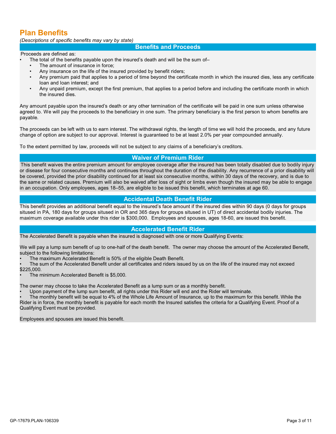# **Plan Benefits**

*(Descriptions of specific benefits may vary by state)*

#### **Benefits and Proceeds**

#### Proceeds are defined as:

- The total of the benefits payable upon the insured's death and will be the sum of-
- The amount of insurance in force;
- Any insurance on the life of the insured provided by benefit riders;
- Any premium paid that applies to a period of time beyond the certificate month in which the insured dies, less any certificate loan and loan interest; and
- Any unpaid premium, except the first premium, that applies to a period before and including the certificate month in which the insured dies.

Any amount payable upon the insured's death or any other termination of the certificate will be paid in one sum unless otherwise agreed to. We will pay the proceeds to the beneficiary in one sum. The primary beneficiary is the first person to whom benefits are payable.

The proceeds can be left with us to earn interest. The withdrawal rights, the length of time we will hold the proceeds, and any future change of option are subject to our approval. Interest is guaranteed to be at least 2.0% peryear compounded annually.

To the extent permitted by law, proceeds will not be subject to any claims of a beneficiary's creditors.

## **Waiver of Premium Rider**

This benefit waives the entire premium amount for employee coverage after the insured has been totally disabled due to bodily injury or disease for four consecutive months and continues throughout the duration of the disability. Any recurrence of a prior disability will be covered, provided the prior disability continued for at least six consecutive months, within 30 days of the recovery, and is due to the same or related causes. Premium will also be waived after loss of sight or limbs even though the insured may be able to engage in an occupation. Only employees, ages 18–55, are eligible to be issued this benefit, which terminates at age 60.

## **Accidental Death Benefit Rider**

This benefit provides an additional benefit equal to the insured's face amount if the insured dies within 90 days (0 days for groups sitused in PA, 180 days for groups sitused in OR and 365 days for groups sitused in UT) of direct accidental bodily injuries. The maximum coverage available under this rider is \$300,000. Employees and spouses, ages 18-60, are issued this benefit.

#### **Accelerated Benefit Rider**

The Accelerated Benefit is payable when the insured is diagnosed with one or more Qualifying Events:

We will pay a lump sum benefit of up to one-half of the death benefit. The owner may choose the amount of the Accelerated Benefit, subject to the following limitations:

• The maximum Accelerated Benefit is 50% of the eligible Death Benefit.

The sum of the Accelerated Benefit under all certificates and riders issued by us on the life of the insured may not exceed \$225,000.

• The minimum Accelerated Benefit is \$5,000.

The owner may choose to take the Accelerated Benefit as a lump sum or as a monthly benefit.

Upon payment of the lump sum benefit, all rights under this Rider will end and the Rider will terminate.

• The monthly benefit will be equal to 4% of the Whole Life Amount of Insurance, up to the maximum for this benefit. While the Rider is in force, the monthly benefit is payable for each month the Insured satisfies the criteria for a Qualifying Event. Proof of a Qualifying Event must be provided.

Employees and spouses are issued this benefit.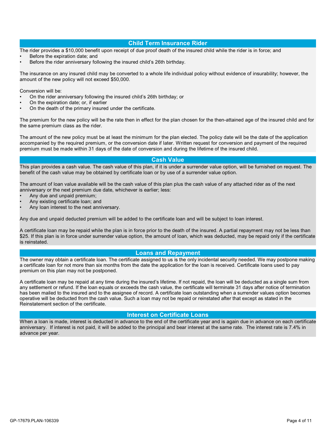#### **Child Term Insurance Rider**

The rider provides a \$10,000 benefit upon receipt of due proof death of the insured child while the rider is in force; and

- Before the expiration date; and
- Before the rider anniversary following the insured child's 26th birthday.

The insurance on any insured child may be converted to a whole life individual policy without evidence of insurability; however, the amount of the new policy will not exceed \$50,000.

Conversion will be:

- On the rider anniversary following the insured child's 26th birthday; or
- On the expiration date; or, if earlier
- On the death of the primary insured under the certificate.

The premium for the new policy will be the rate then in effect for the plan chosen for the then-attained age of the insured child and for the same premium class as the rider.

The amount of the new policy must be at least the minimum for the plan elected. The policy date will be the date of the application accompanied by the required premium, or the conversion date iflater. Written request for conversion and payment of the required premium must be made within 31 days of the date of conversion and during the lifetime of the insured child.

#### **Cash Value**

This plan provides a cash value. The cash value of this plan, if it is under a surrender value option, will be furnished on request. The benefit of the cash value may be obtained by certificate loan or by use of a surrender value option.

The amount of loan value available will be the cash value of this plan plus the cash value of any attached rider as of the next anniversary or the next premium due date, whichever is earlier; less:

- Any due and unpaid premium;
- Any existing certificate loan; and
- Any loan interest to the next anniversary.

Any due and unpaid deducted premium will be added to the certificate loan and will be subject to loan interest.

A certificate loan may be repaid while the plan is in force prior to the death of the insured. A partial repayment may not be less than \$25. If this plan is in force under surrender value option, the amount of loan, which was deducted, may be repaid only if the certificate is reinstated.

#### **Loans and Repayment**

The owner may obtain a certificate loan. The certificate assigned to us is the only incidental security needed. We may postpone making a certificate loan for not more than six months from the date the application for the loan is received. Certificate loans used to pay premium on this plan may not be postponed.

A certificate loan may be repaid at any time during the insured's lifetime. If not repaid, the loan will be deducted as a single sum from any settlement or refund. If the loan equals or exceeds the cash value, the certificate will terminate 31 days after notice of termination has been mailed to the insured and to the assignee of record. A certificate loan outstanding when a surrender values option becomes operative will be deducted from the cash value. Such a loan may not be repaid or reinstated after that except as stated in the Reinstatement section of the certificate.

## **Interest on Certificate Loans**

When a loan is made, interest is deducted in advance to the end of the certificate year and is again due in advance on each certificate anniversary. If interest is not paid, it will be added to the principal and bear interest at the same rate. The interest rate is 7.4% in advance per year.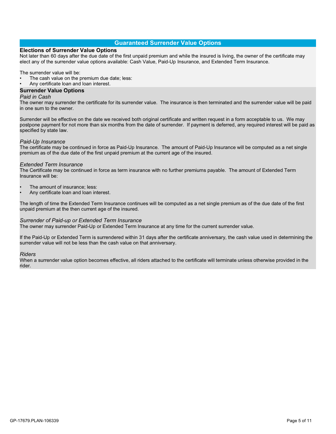## **Guaranteed Surrender Value Options**

#### **Elections of Surrender Value Options**

Not later than 60 days after the due date of the first unpaid premium and while the insured is living, the owner of the certificate may elect any of the surrender value options available: Cash Value, Paid-Up Insurance, and Extended Term Insurance.

The surrender value will be:

- The cash value on the premium due date; less:
- Any certificate loan and loan interest.

#### **Surrender Value Options**

#### *Paid in Cash*

The owner may surrender the certificate for its surrender value. The insurance is then terminated and the surrender value will be paid in one sum to the owner.

Surrender will be effective on the date we received both original certificate and written request in a form acceptable to us. We may postpone payment for not more than six months from the date of surrender. If payment is deferred, any required interest will be paid as specified by state law.

#### *Paid-Up Insurance*

The certificate may be continued in force as Paid-Up Insurance. The amount of Paid-Up Insurance will be computed as a net single premium as of the due date of the first unpaid premium at the current age of the insured.

#### *Extended Term Insurance*

The Certificate may be continued in force as term insurance with no further premiums payable. The amount of Extended Term Insurance will be:

- The amount of insurance; less:
- Any certificate loan and loan interest.

The length of time the Extended Term Insurance continues will be computed as a net single premium as of the due date of the first unpaid premium at the then current age of the insured.

#### *Surrender of Paid-up or Extended Term Insurance*

The owner may surrender Paid-Up or Extended Term Insurance at any time for the current surrender value.

If the Paid-Up or Extended Term is surrendered within 31 days after the certificate anniversary, the cash value used in determining the surrender value will not be less than the cash value on that anniversary.

#### *Riders*

When a surrender value option becomes effective, all riders attached to the certificate will terminate unless otherwise provided in the rider.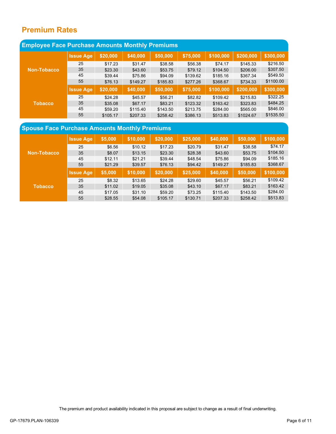# **Premium Rates**

| <b>Employee Face Purchase Amounts Monthly Premiums</b> |                  |          |          |          |          |           |           |           |
|--------------------------------------------------------|------------------|----------|----------|----------|----------|-----------|-----------|-----------|
|                                                        | <b>Issue Age</b> | \$20,000 | \$40,000 | \$50,000 | \$75,000 | \$100,000 | \$200,000 | \$300,000 |
|                                                        | 25               | \$17.23  | \$31.47  | \$38.58  | \$56.38  | \$74.17   | \$145.33  | \$216.50  |
| Non-Tobacco                                            | 35               | \$23.30  | \$43.60  | \$53.75  | \$79.12  | \$104.50  | \$206.00  | \$307.50  |
|                                                        | 45               | \$39.44  | \$75.86  | \$94.09  | \$139.62 | \$185.16  | \$367.34  | \$549.50  |
|                                                        | 55               | \$76.13  | \$149.27 | \$185.83 | \$277.26 | \$368.67  | \$734.33  | \$1100.00 |
|                                                        | <b>Issue Age</b> | \$20,000 | \$40,000 | \$50,000 | \$75,000 | \$100,000 | \$200,000 | \$300,000 |
| <b>Tobacco</b>                                         | 25               | \$24.28  | \$45.57  | \$56.21  | \$82.82  | \$109.42  | \$215.83  | \$322.25  |
|                                                        | 35               | \$35.08  | \$67.17  | \$83.21  | \$123.32 | \$163.42  | \$323.83  | \$484.25  |
|                                                        | 45               | \$59.20  | \$115.40 | \$143.50 | \$213.75 | \$284.00  | \$565.00  | \$846.00  |
|                                                        | 55               | \$105.17 | \$207.33 | \$258.42 | \$386.13 | \$513.83  | \$1024.67 | \$1535.50 |

# **Spouse Face Purchase Amounts Monthly Premiums**

|                    | <b>Issue Age</b> | \$5,000 | \$10,000 | \$20,000 | \$25,000 | \$40,000 | \$50,000 | \$100,000 |
|--------------------|------------------|---------|----------|----------|----------|----------|----------|-----------|
| <b>Non-Tobacco</b> | 25               | \$6.56  | \$10.12  | \$17.23  | \$20.79  | \$31.47  | \$38.58  | \$74.17   |
|                    | 35               | \$8.07  | \$13.15  | \$23.30  | \$28.38  | \$43.60  | \$53.75  | \$104.50  |
|                    | 45               | \$12.11 | \$21.21  | \$39.44  | \$48.54  | \$75.86  | \$94.09  | \$185.16  |
|                    | 55               | \$21.29 | \$39.57  | \$76.13  | \$94.42  | \$149.27 | \$185.83 | \$368.67  |
|                    | <b>Issue Age</b> | \$5,000 | \$10,000 | \$20,000 | \$25,000 | \$40,000 | \$50,000 | \$100,000 |
| <b>Tobacco</b>     | 25               | \$8.32  | \$13.65  | \$24.28  | \$29.60  | \$45.57  | \$56.21  | \$109.42  |
|                    | 35               | \$11.02 | \$19.05  | \$35.08  | \$43.10  | \$67.17  | \$83.21  | \$163.42  |
|                    | 45               | \$17.05 | \$31.10  | \$59.20  | \$73.25  | \$115.40 | \$143.50 | \$284.00  |
|                    | 55               | \$28.55 | \$54.08  | \$105.17 | \$130.71 | \$207.33 | \$258.42 | \$513.83  |

The premium and product availability indicated in this proposal are subject to change as a result of final underwriting.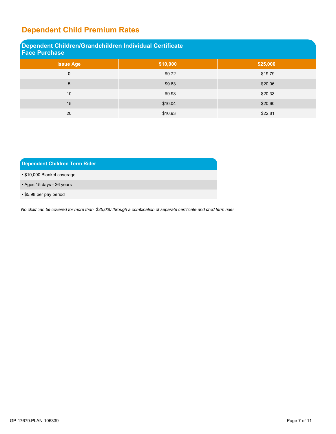# **Dependent Child Premium Rates**

| Dependent Children/Grandchildren Individual Certificate<br><b>Face Purchase</b> |          |          |  |  |  |  |
|---------------------------------------------------------------------------------|----------|----------|--|--|--|--|
| <b>Issue Age</b>                                                                | \$10,000 | \$25,000 |  |  |  |  |
| 0                                                                               | \$9.72   | \$19.79  |  |  |  |  |
| 5                                                                               | \$9.83   | \$20.06  |  |  |  |  |
| 10                                                                              | \$9.93   | \$20.33  |  |  |  |  |
| 15                                                                              | \$10.04  | \$20.60  |  |  |  |  |
| 20                                                                              | \$10.93  | \$22.81  |  |  |  |  |

## **Dependent Children Term Rider**

• \$10,000 Blanket coverage

• Ages 15 days - 26 years

• \$5.98 per pay period

No child can be covered for more than \$25,000 through a combination of separate certificate and child term rider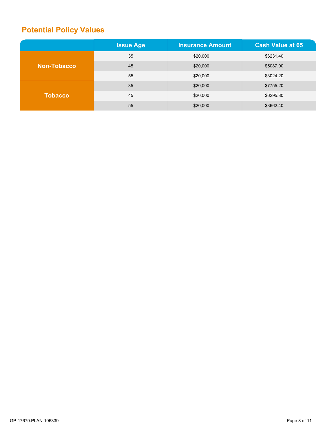# **Potential Policy Values**

|                    | <b>Issue Age</b> | <b>Insurance Amount</b> | <b>Cash Value at 65</b> |
|--------------------|------------------|-------------------------|-------------------------|
| <b>Non-Tobacco</b> | 35               | \$20,000                | \$6231.40               |
|                    | 45               | \$20,000                | \$5087.00               |
|                    | 55               | \$20,000                | \$3024.20               |
|                    | 35               | \$20,000                | \$7755.20               |
| <b>Tobacco</b>     | 45               | \$20,000                | \$6295.80               |
|                    | 55               | \$20,000                | \$3662.40               |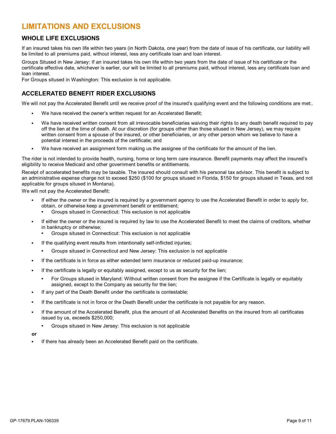# **LIMITATIONS AND EXCLUSIONS**

## **WHOLE LIFE EXCLUSIONS**

If an insured takes his own life within two years (in North Dakota, one year) from the date of issue of his certificate, our liability will be limited to all premiums paid, without interest, less any certificate loan and loan interest.

Groups Sitused in New Jersey: If an insured takes his own life within two years from the date of issue of his certificate or the certificate effective date, whichever is earlier, our will be limited to all premiums paid, without interest, less any certificate loan and loan interest.

For Groups sitused in Washington: This exclusion is not applicable.

## **ACCELERATED BENEFIT RIDER EXCLUSIONS**

We will not pay the Accelerated Benefit until we receive proof of the insured's qualifying event and the following conditions are met..

- **•** We have received the owner's written request for an Accelerated Benefit;
- **•** We have received written consent from all irrevocable beneficiaries waiving their rights to any death benefit required to pay off the lien at the time of death. At our discretion (for groups other than those sitused in New Jersey), we may require written consent from a spouse of the insured, or other beneficiaries, or any other person whom we believe to have a potential interest in the proceeds of the certificate; and
- **•** We have received an assignment form making us the assignee of the certificate for the amount of the lien.

The rider is not intended to provide health, nursing, home or long term care insurance. Benefit payments may affect the insured's eligibility to receive Medicaid and other government benefits or entitlements.

Receipt of accelerated benefits may be taxable. The insured should consult with his personal tax advisor. This benefit is subject to an administrative expense charge not to exceed \$250 (\$100 for groups sitused in Florida, \$150 for groups sitused in Texas, and not applicable for groups sitused in Montana).

We will not pay the Accelerated Benefit:

- **•** If either the owner or the insured is required by a government agency to use the Accelerated Benefit in order to apply for, obtain, or otherwise keep a government benefit or entitlement;
	- **•** Groups sitused in Connecticut: This exclusion is not applicable
- **•** If either the owner or the insured is required by law to use the Accelerated Benefit to meet the claims of creditors, whether in bankruptcy or otherwise;
	- **•** Groups sitused in Connecticut: This exclusion is not applicable
- **•** If the qualifying event results from intentionally self-inflicted injuries;
	- **•** Groups sitused in Connecticut and New Jersey: This exclusion is not applicable
- If the certificate is in force as either extended term insurance or reduced paid-up insurance;
- **•** If the certificate is legally or equitably assigned, except to us as security for the lien;
	- **•** For Groups sitused in Maryland: Without written consent from the assignee if the Certificate is legally or equitably assigned, except to the Company as security for the lien;
- **•** If any part of the Death Benefit under the certificate is contestable;
- **•** If the certificate is not in force or the Death Benefit under the certificate is not payable for any reason.
- **•** If the amount of the Accelerated Benefit, plus the amount of all Accelerated Benefits on the insured from all certificates issued by us, exceeds \$250,000;
	- **•** Groups sitused in New Jersey: This exclusion is not applicable
- **or**
- **•** If there has already been an Accelerated Benefit paid on the certificate.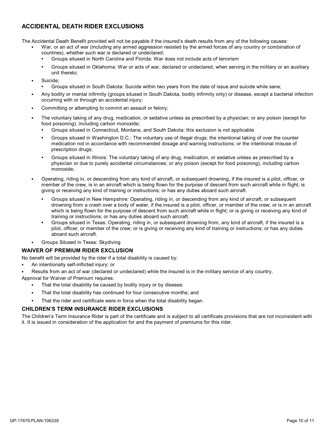## **ACCIDENTAL DEATH RIDER EXCLUSIONS**

The Accidental Death Benefit provided will not be payable if the insured's death results from any of the following causes:

- **•** War, or an act of war (including any armed aggression resisted by the armed forces of any country or combination of countries), whether such war is declared or undeclared;
	- **•** Groups sitused in North Carolina and Florida: War does not include acts of terrorism
	- **•** Groups sitused in Oklahoma: War or acts of war, declared or undeclared, when serving in the military or an auxiliary unit thereto;
- **•** Suicide;
	- **•** Groups sitused in South Dakota: Suicide within two years from the date of issue and suicide while sane;
- **•** Any bodily or mental infirmity (groups sitused in South Dakota, bodily infirmity only) or disease, except a bacterial infection occurring with or through an accidental injury;
- **•** Committing or attempting to commit an assault or felony;
- **•** The voluntary taking of any drug, medication, or sedative unless as prescribed by a physician; or any poison (except for food poisoning), including carbon monoxide;
	- **•** Groups sitused in Connecticut, Montana, and South Dakota: this exclusion is not applicable
	- **•** Groups sitused in Washington D.C.: The voluntary use of illegal drugs; the intentional taking of over the counter medication not in accordance with recommended dosage and warning instructions; or the intentional misuse of prescription drugs;
	- **•** Groups sitused in Illinois: The voluntary taking of any drug, medication, or sedative unless as prescribed by a physician or due to purely accidental circumstances; or any poison (except for food poisoning), including carbon monoxide;
- **•** Operating, riding in, or descending from any kind of aircraft, or subsequent drowning, if the insured is a pilot, officer, or member of the crew, is in an aircraft which is being flown for the purpose of descent from such aircraft while in flight, is giving or receiving any kind of training or instructions; or has any duties aboard such aircraft.
	- **•** Groups sitused in New Hampshire: Operating, riding in, or descending from any kind of aircraft, or subsequent drowning from acrash over a body of water, if the insured is a pilot, officer, or member of the crew; or is in an aircraft which is being flown for the purpose of descent from such aircraft while in flight; or is giving or receiving any kind of training or instructions; or has any duties aboard such aircraft.
	- **•** Groups sitused in Texas: Operating, riding in, or subsequent drowning from, any kind of aircraft, if the insured is a pilot, officer, or member of the crew; or is giving or receiving any kind of training or instructions; or has any duties aboard such aircraft.
- **•** Groups Sitused in Texas: Skydiving

## **WAIVER OF PREMIUM RIDER EXCLUSION**

No benefit will be provided by the rider if a total disability is caused by:

**•** An intentionally self-inflicted injury; or

**•** Results from an act of war (declared or undeclared) while the insured is in the military service of any country.

- Approval for Waiver of Premium requires:
	- **•** That the total disability be caused by bodily injury or by disease;
	- **•** That the total disability has continued for four consecutive months; and
	- **•** That the rider and certificate were in force when the total disability began.

## **CHILDREN'S TERM INSURANCE RIDER EXCLUSIONS**

The Children's Term Insurance Rider is part of the certificate and is subject to all certificate provisions that are not inconsistent with it. It is issued in consideration of the application for and the payment of premiums for this rider.